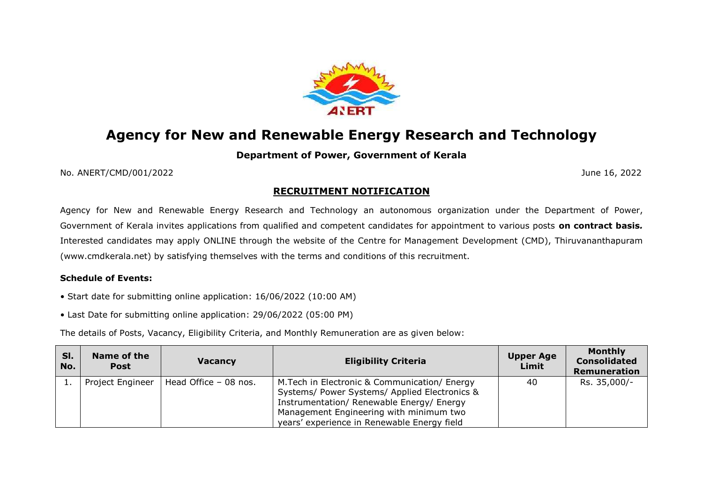

# **Agency for New and Renewable Energy Research and Technology**

# **Department of Power, Government of Kerala**

No. ANERT/CMD/001/2022 June 16, 2022

# **RECRUITMENT NOTIFICATION**

Agency for New and Renewable Energy Research and Technology an autonomous organization under the Department of Power, Government of Kerala invites applications from qualified and competent candidates for appointment to various posts **on contract basis***.* Interested candidates may apply ONLINE through the website of the Centre for Management Development (CMD), Thiruvananthapuram (www.cmdkerala.net) by satisfying themselves with the terms and conditions of this recruitment.

## **Schedule of Events:**

• Start date for submitting online application: 16/06/2022 (10:00 AM)

• Last Date for submitting online application: 29/06/2022 (05:00 PM)

The details of Posts, Vacancy, Eligibility Criteria, and Monthly Remuneration are as given below:

| SI.<br>No. | Name of the<br><b>Post</b> | <b>Vacancy</b>        | <b>Eligibility Criteria</b>                                                                                                                                                                                                           | <b>Upper Age</b><br>Limit | <b>Monthly</b><br><b>Consolidated</b><br>Remuneration |
|------------|----------------------------|-----------------------|---------------------------------------------------------------------------------------------------------------------------------------------------------------------------------------------------------------------------------------|---------------------------|-------------------------------------------------------|
|            | Project Engineer           | Head Office - 08 nos. | M. Tech in Electronic & Communication/ Energy<br>Systems/ Power Systems/ Applied Electronics &<br>Instrumentation/ Renewable Energy/ Energy<br>Management Engineering with minimum two<br>years' experience in Renewable Energy field | 40                        | Rs. 35,000/-                                          |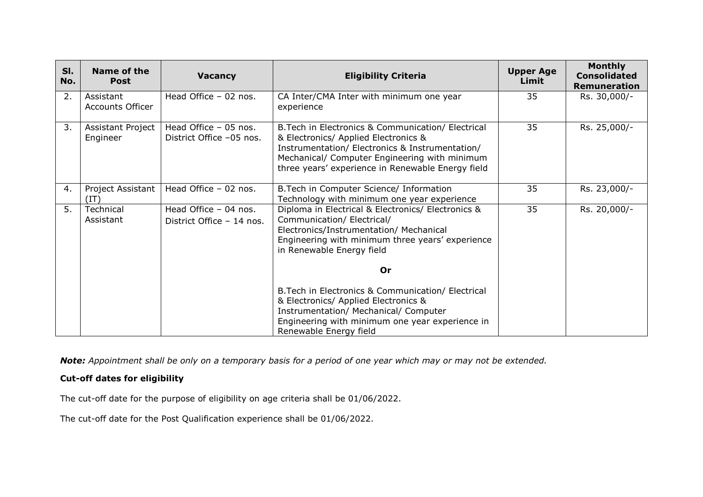| SI.<br>No. | Name of the<br><b>Post</b>           | <b>Vacancy</b>                                     | <b>Eligibility Criteria</b>                                                                                                                                                                                                                         | <b>Upper Age</b><br>Limit | <b>Monthly</b><br><b>Consolidated</b><br>Remuneration |
|------------|--------------------------------------|----------------------------------------------------|-----------------------------------------------------------------------------------------------------------------------------------------------------------------------------------------------------------------------------------------------------|---------------------------|-------------------------------------------------------|
| 2.         | Assistant<br><b>Accounts Officer</b> | Head Office $-02$ nos.                             | CA Inter/CMA Inter with minimum one year<br>experience                                                                                                                                                                                              | 35                        | Rs. 30,000/-                                          |
| 3.         | Assistant Project<br>Engineer        | Head Office - 05 nos.<br>District Office -05 nos.  | B. Tech in Electronics & Communication/ Electrical<br>& Electronics/ Applied Electronics &<br>Instrumentation/ Electronics & Instrumentation/<br>Mechanical/ Computer Engineering with minimum<br>three years' experience in Renewable Energy field | 35                        | Rs. 25,000/-                                          |
| 4.         | Project Assistant<br>(TT)            | Head Office - 02 nos.                              | B. Tech in Computer Science/ Information<br>Technology with minimum one year experience                                                                                                                                                             | 35                        | Rs. 23,000/-                                          |
| 5.         | Technical<br>Assistant               | Head Office - 04 nos.<br>District Office - 14 nos. | Diploma in Electrical & Electronics/ Electronics &<br>Communication/ Electrical/<br>Electronics/Instrumentation/ Mechanical<br>Engineering with minimum three years' experience<br>in Renewable Energy field                                        | 35                        | Rs. 20,000/-                                          |
|            |                                      |                                                    | 0r                                                                                                                                                                                                                                                  |                           |                                                       |
|            |                                      |                                                    | B. Tech in Electronics & Communication/ Electrical<br>& Electronics/ Applied Electronics &<br>Instrumentation/ Mechanical/ Computer<br>Engineering with minimum one year experience in<br>Renewable Energy field                                    |                           |                                                       |

*Note: Appointment shall be only on a temporary basis for a period of one year which may or may not be extended.*

## **Cut-off dates for eligibility**

The cut-off date for the purpose of eligibility on age criteria shall be 01/06/2022.

The cut-off date for the Post Qualification experience shall be 01/06/2022.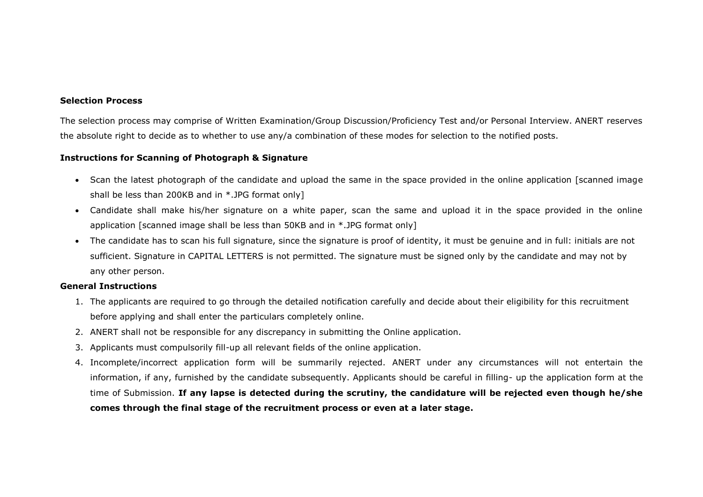#### **Selection Process**

The selection process may comprise of Written Examination/Group Discussion/Proficiency Test and/or Personal Interview. ANERT reserves the absolute right to decide as to whether to use any/a combination of these modes for selection to the notified posts.

### **Instructions for Scanning of Photograph & Signature**

- Scan the latest photograph of the candidate and upload the same in the space provided in the online application [scanned image shall be less than 200KB and in \*.JPG format only]
- Candidate shall make his/her signature on a white paper, scan the same and upload it in the space provided in the online application [scanned image shall be less than 50KB and in \*.JPG format only]
- The candidate has to scan his full signature, since the signature is proof of identity, it must be genuine and in full: initials are not sufficient. Signature in CAPITAL LETTERS is not permitted. The signature must be signed only by the candidate and may not by any other person.

### **General Instructions**

- 1. The applicants are required to go through the detailed notification carefully and decide about their eligibility for this recruitment before applying and shall enter the particulars completely online.
- 2. ANERT shall not be responsible for any discrepancy in submitting the Online application.
- 3. Applicants must compulsorily fill-up all relevant fields of the online application.
- 4. Incomplete/incorrect application form will be summarily rejected. ANERT under any circumstances will not entertain the information, if any, furnished by the candidate subsequently. Applicants should be careful in filling- up the application form at the time of Submission. **If any lapse is detected during the scrutiny, the candidature will be rejected even though he/she comes through the final stage of the recruitment process or even at a later stage.**